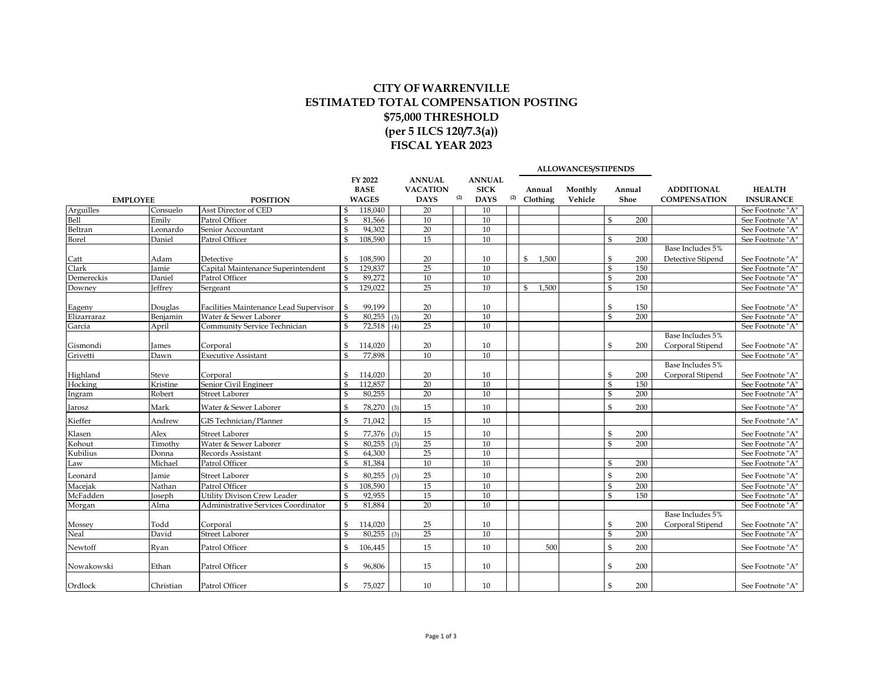## **CITY OF WARRENVILLE ESTIMATED TOTAL COMPENSATION POSTING \$75,000 THRESHOLD (per 5 ILCS 120/7.3(a)) FISCAL YEAR 2023**

|                              |                   |                                        |                    |                                        |     |                                                 |     |                                             |     |                         | ALLOWANCES/STIPENDS |              |                |                                          |                                      |
|------------------------------|-------------------|----------------------------------------|--------------------|----------------------------------------|-----|-------------------------------------------------|-----|---------------------------------------------|-----|-------------------------|---------------------|--------------|----------------|------------------------------------------|--------------------------------------|
|                              | <b>EMPLOYEE</b>   | <b>POSITION</b>                        |                    | FY 2022<br><b>BASE</b><br><b>WAGES</b> |     | <b>ANNUAL</b><br><b>VACATION</b><br><b>DAYS</b> | (2) | <b>ANNUAL</b><br><b>SICK</b><br><b>DAYS</b> | (2) | Annual<br>Clothing      | Monthly<br>Vehicle  |              | Annual<br>Shoe | <b>ADDITIONAL</b><br><b>COMPENSATION</b> | <b>HEALTH</b><br><b>INSURANCE</b>    |
|                              | Consuelo          | Asst Director of CED                   | $\mathfrak{S}$     | 118,040                                |     | 20                                              |     | 10                                          |     |                         |                     |              |                |                                          | See Footnote "A"                     |
| Arguilles<br>Bell<br>Beltran | Emily             | Patrol Officer                         | \$                 | 81,566                                 |     | 10                                              |     | 10                                          |     |                         |                     | \$           | 200            |                                          | See Footnote "A"                     |
|                              | Leonardo          | Senior Accountant                      | \$                 | 94,302                                 |     | 20                                              |     | 10                                          |     |                         |                     |              |                |                                          | See Footnote "A"                     |
| Borel                        | Daniel            | Patrol Officer                         | \$                 | 108,590                                |     | 15                                              |     | 10                                          |     |                         |                     | \$           | 200            |                                          | See Footnote "A"                     |
|                              |                   |                                        |                    |                                        |     |                                                 |     |                                             |     |                         |                     |              |                | Base Includes 5%                         |                                      |
| Catt                         | Adam              | Detective                              | \$                 | 108,590                                |     | 20                                              |     | 10                                          |     | \$<br>1,500             |                     | \$           | 200            | Detective Stipend                        | See Footnote "A"                     |
| Clark                        | <b>amie</b>       | Capital Maintenance Superintendent     | \$                 | 129,837                                |     | $\overline{25}$                                 |     | 10                                          |     |                         |                     | \$           | 150            |                                          | See Footnote "A"                     |
| Demereckis                   | Daniel            | Patrol Officer                         | \$                 | 89,272                                 |     | 10                                              |     | 10                                          |     |                         |                     | $\$$         | 200            |                                          | See Footnote "A"                     |
| Downey                       | effrey            | Sergeant                               | $\mathbb S$        | 129,022                                |     | 25                                              |     | 10                                          |     | 1,500<br>$\mathfrak{S}$ |                     | \$           | 150            |                                          | See Footnote "A"                     |
|                              |                   |                                        |                    |                                        |     |                                                 |     |                                             |     |                         |                     |              |                |                                          |                                      |
| Eageny                       | Douglas           | Facilities Maintenance Lead Supervisor | \$                 | 99,199                                 |     | 20                                              |     | 10                                          |     |                         |                     | \$           | 150            |                                          | See Footnote "A"                     |
| Elizarraraz                  | Benjamin          | Water & Sewer Laborer                  |                    | 80,255                                 | (3) | 20                                              |     | 10                                          |     |                         |                     | \$           | 200            |                                          | See Footnote "A"                     |
| Garcia                       | April             | Community Service Technician           | $\mathbf{S}$       | 72,518                                 | (4) | 25                                              |     | 10                                          |     |                         |                     |              |                |                                          | See Footnote "A"                     |
|                              |                   |                                        |                    |                                        |     |                                                 |     |                                             |     |                         |                     |              |                | Base Includes 5%                         |                                      |
| Gismondi                     | James             | Corporal                               | \$                 | 114,020                                |     | 20                                              |     | 10                                          |     |                         |                     | \$           | 200            | Corporal Stipend                         | See Footnote "A"                     |
| Grivetti                     | Dawn              | <b>Executive Assistant</b>             | $\mathbf{s}$       | 77.898                                 |     | $\overline{10}$                                 |     | 10                                          |     |                         |                     |              |                |                                          | See Footnote "A"                     |
|                              |                   |                                        |                    | 114,020                                |     |                                                 |     |                                             |     |                         |                     | \$           | 200            | Base Includes 5%<br>Corporal Stipend     |                                      |
| Highland<br>Hocking          | Steve<br>Kristine | Corporal<br>Senior Civil Engineer      | \$<br>$\mathbf{s}$ | 112,857                                |     | 20<br>20                                        |     | 10<br>10                                    |     |                         |                     | $\$$         | 150            |                                          | See Footnote "A"<br>See Footnote "A" |
| Ingram                       | Robert            | <b>Street Laborer</b>                  | \$                 | 80,255                                 |     | 20                                              |     | 10                                          |     |                         |                     | \$           | 200            |                                          | See Footnote "A"                     |
|                              |                   |                                        |                    |                                        |     |                                                 |     |                                             |     |                         |                     |              |                |                                          |                                      |
| Jarosz                       | Mark              | Water & Sewer Laborer                  | $\$$               | 78,270                                 | (3) | 15                                              |     | 10                                          |     |                         |                     | \$           | 200            |                                          | See Footnote "A"                     |
| Kieffer                      | Andrew            | GIS Technician/Planner                 | \$                 | 71,042                                 |     | 15                                              |     | 10                                          |     |                         |                     |              |                |                                          | See Footnote "A"                     |
| Klasen                       | Alex              | <b>Street Laborer</b>                  | \$                 | 77,376                                 | (3) | 15                                              |     | 10                                          |     |                         |                     | \$           | 200            |                                          | See Footnote "A"                     |
| Kohout                       | Timothy           | Water & Sewer Laborer                  | \$                 | 80,255                                 | (3) | 25                                              |     | 10                                          |     |                         |                     | \$           | 200            |                                          | See Footnote "A"                     |
| Kubilius                     | Donna             | Records Assistant                      | \$                 | 64,300                                 |     | 25                                              |     | $\overline{10}$                             |     |                         |                     |              |                |                                          | See Footnote "A"                     |
| Law                          | Michael           | Patrol Officer                         | $\mathbf{s}$       | 81,384                                 |     | 10                                              |     | 10                                          |     |                         |                     | \$           | 200            |                                          | See Footnote "A"                     |
| Leonard                      | Jamie             | <b>Street Laborer</b>                  | \$                 | 80,255                                 | (3) | 25                                              |     | 10                                          |     |                         |                     | \$           | 200            |                                          | See Footnote "A"                     |
| Macejak                      | Nathan            | Patrol Officer                         | $\$$               | 108,590                                |     | 15                                              |     | 10                                          |     |                         |                     | \$           | 200            |                                          | See Footnote "A"                     |
| McFadden                     | Joseph            | Utility Divison Crew Leader            | \$                 | 92,955                                 |     | 15                                              |     | 10                                          |     |                         |                     | \$           | 150            |                                          | See Footnote "A"                     |
| Morgan                       | Alma              | Administrative Services Coordinator    | $\mathbf{s}$       | 81,884                                 |     | 20                                              |     | 10                                          |     |                         |                     |              |                |                                          | See Footnote "A"                     |
|                              |                   |                                        |                    |                                        |     |                                                 |     |                                             |     |                         |                     |              |                | Base Includes 5%                         |                                      |
| Mossey                       | Todd              | Corporal                               | \$                 | 114,020                                |     | 25                                              |     | 10                                          |     |                         |                     | \$           | 200            | Corporal Stipend                         | See Footnote "A"                     |
| Neal                         | David             | <b>Street Laborer</b>                  | $\mathfrak{S}$     | 80,255                                 | (3) | 25                                              |     | 10                                          |     |                         |                     | $\mathbb{S}$ | 200            |                                          | See Footnote "A"                     |
| Newtoff                      | Rvan              | Patrol Officer                         | $\mathbf{s}$       | 106,445                                |     | 15                                              |     | 10                                          |     | 500                     |                     | \$           | 200            |                                          | See Footnote "A"                     |
| Nowakowski                   | Ethan             | Patrol Officer                         | \$                 | 96,806                                 |     | 15                                              |     | 10                                          |     |                         |                     | \$           | 200            |                                          | See Footnote "A"                     |
| Ordlock                      | Christian         | Patrol Officer                         | \$                 | 75,027                                 |     | 10                                              |     | 10                                          |     |                         |                     | \$           | 200            |                                          | See Footnote "A"                     |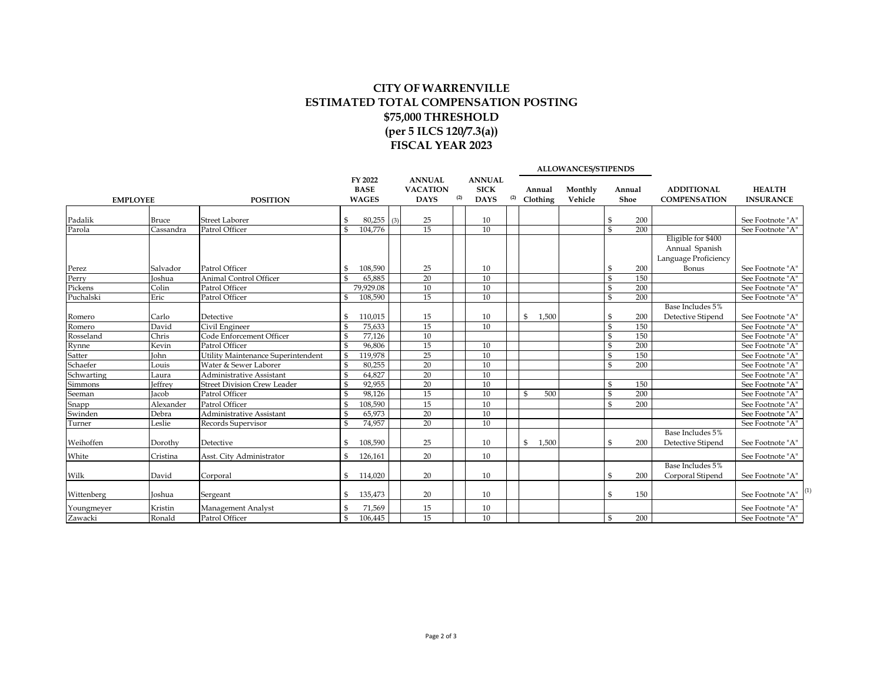## **CITY OF WARRENVILLE ESTIMATED TOTAL COMPENSATION POSTING \$75,000 THRESHOLD (per 5 ILCS 120/7.3(a)) FISCAL YEAR 2023**

|                           |                | ALLOWANCES/STIPENDS                |                    |              |     |                 |     |               |     |                       |         |                         |        |                                                              |                  |
|---------------------------|----------------|------------------------------------|--------------------|--------------|-----|-----------------|-----|---------------|-----|-----------------------|---------|-------------------------|--------|--------------------------------------------------------------|------------------|
|                           |                |                                    |                    | FY 2022      |     | <b>ANNUAL</b>   |     | <b>ANNUAL</b> |     |                       |         |                         |        |                                                              |                  |
|                           |                |                                    |                    | <b>BASE</b>  |     | <b>VACATION</b> | (2) | <b>SICK</b>   |     | Annual                | Monthly |                         | Annual | <b>ADDITIONAL</b>                                            | <b>HEALTH</b>    |
| <b>EMPLOYEE</b>           |                | <b>POSITION</b>                    |                    | <b>WAGES</b> |     | <b>DAYS</b>     |     | <b>DAYS</b>   | (2) | Clothing              | Vehicle | Shoe                    |        | <b>COMPENSATION</b>                                          | <b>INSURANCE</b> |
|                           | <b>Bruce</b>   | <b>Street Laborer</b>              | \$                 | 80,255       | (3) | 25              |     | 10            |     |                       |         | -\$                     | 200    |                                                              | See Footnote "A" |
| Padalik<br>Parola         | Cassandra      | Patrol Officer                     | $\mathbf{\hat{S}}$ | 104,776      |     | $\overline{15}$ |     | 10            |     |                       |         | $\overline{\mathbb{S}}$ | 200    |                                                              | See Footnote "A" |
|                           |                |                                    |                    |              |     |                 |     |               |     |                       |         |                         |        | Eligible for \$400<br>Annual Spanish<br>Language Proficiency |                  |
| Perez<br>Perry<br>Pickens | Salvador       | Patrol Officer                     | \$                 | 108,590      |     | 25              |     | 10            |     |                       |         | -\$                     | 200    | Bonus                                                        | See Footnote "A" |
|                           | <b>Joshua</b>  | <b>Animal Control Officer</b>      | \$                 | 65,885       |     | 20              |     | 10            |     |                       |         | $\mathfrak{s}$          | 150    |                                                              | See Footnote "A" |
|                           | Colin          | Patrol Officer                     |                    | 79,929.08    |     | 10              |     | 10            |     |                       |         | $\mathfrak{S}$          | 200    |                                                              | See Footnote "A" |
| Puchalski                 | Eric           | Patrol Officer                     | \$                 | 108,590      |     | 15              |     | 10            |     |                       |         | $\mathfrak{S}$          | 200    |                                                              | See Footnote "A" |
| Romero<br>Romero          | Carlo          | Detective                          | \$                 | 110,015      |     | 15              |     | 10            |     | \$<br>1,500           |         | \$                      | 200    | Base Includes 5%<br>Detective Stipend                        | See Footnote "A" |
|                           | David          | Civil Engineer                     | \$                 | 75,633       |     | $\overline{15}$ |     | 10            |     |                       |         | $\mathfrak{s}$          | 150    |                                                              | See Footnote "A" |
| Rosseland                 | Chris          | Code Enforcement Officer           | \$                 | 77,126       |     | 10              |     |               |     |                       |         | $\mathfrak{S}$          | 150    |                                                              | See Footnote "A" |
| Rynne                     | Kevin          | Patrol Officer                     | \$                 | 96,806       |     | 15              |     | 10            |     |                       |         | $\mathfrak{S}$          | 200    |                                                              | See Footnote "A" |
| Satter                    | John           | Utility Maintenance Superintendent | $\mathbb S$        | 119,978      |     | 25              |     | 10            |     |                       |         | $\mathfrak{S}$          | 150    |                                                              | See Footnote "A" |
| Schaefer                  | Louis          | Water & Sewer Laborer              | \$                 | 80,255       |     | 20              |     | 10            |     |                       |         | $\mathbb{S}$            | 200    |                                                              | See Footnote "A" |
| Schwarting                | Laura          | Administrative Assistant           | \$                 | 64,827       |     | 20              |     | 10            |     |                       |         |                         |        |                                                              | See Footnote "A" |
| Simmons                   | <b>Jeffrey</b> | <b>Street Division Crew Leader</b> | \$                 | 92,955       |     | 20              |     | 10            |     |                       |         | $\mathfrak{s}$          | 150    |                                                              | See Footnote "A" |
| Seeman                    | Jacob          | Patrol Officer                     | \$                 | 98,126       |     | 15              |     | 10            |     | $\mathfrak{S}$<br>500 |         | $\mathfrak{S}$          | 200    |                                                              | See Footnote "A" |
| Snapp<br>Swinden          | Alexander      | Patrol Officer                     | \$                 | 108,590      |     | 15              |     | 10            |     |                       |         | \$                      | 200    |                                                              | See Footnote "A" |
|                           | Debra          | Administrative Assistant           | \$                 | 65,973       |     | 20              |     | 10            |     |                       |         |                         |        |                                                              | See Footnote "A" |
| Turner                    | Leslie         | Records Supervisor                 | \$                 | 74,957       |     | 20              |     | 10            |     |                       |         |                         |        |                                                              | See Footnote "A" |
|                           |                |                                    |                    |              |     |                 |     |               |     |                       |         |                         |        | Base Includes 5%                                             |                  |
| Weihoffen                 | Dorothy        | Detective                          | \$                 | 108,590      |     | 25              |     | 10            |     | 1,500<br>$\mathbb{S}$ |         | $\mathfrak{s}$          | 200    | Detective Stipend                                            | See Footnote "A" |
| White                     | Cristina       | Asst. City Administrator           | $\mathbf{s}$       | 126,161      |     | 20              |     | 10            |     |                       |         |                         |        |                                                              | See Footnote "A" |
| Wilk                      | David          | Corporal                           | S.                 | 114,020      |     | 20              |     | 10            |     |                       |         | \$                      | 200    | Base Includes 5%<br>Corporal Stipend                         | See Footnote "A" |
| Wittenberg                | <b>Joshua</b>  | Sergeant                           | \$                 | 135,473      |     | 20              |     | 10            |     |                       |         | \$                      | 150    |                                                              | See Footnote "A" |
| Youngmeyer                | Kristin        | Management Analyst                 | \$                 | 71,569       |     | 15              |     | 10            |     |                       |         |                         |        |                                                              | See Footnote "A" |
| Zawacki                   | Ronald         | Patrol Officer                     | \$                 | 106,445      |     | 15              |     | 10            |     |                       |         | \$                      | 200    |                                                              | See Footnote "A" |